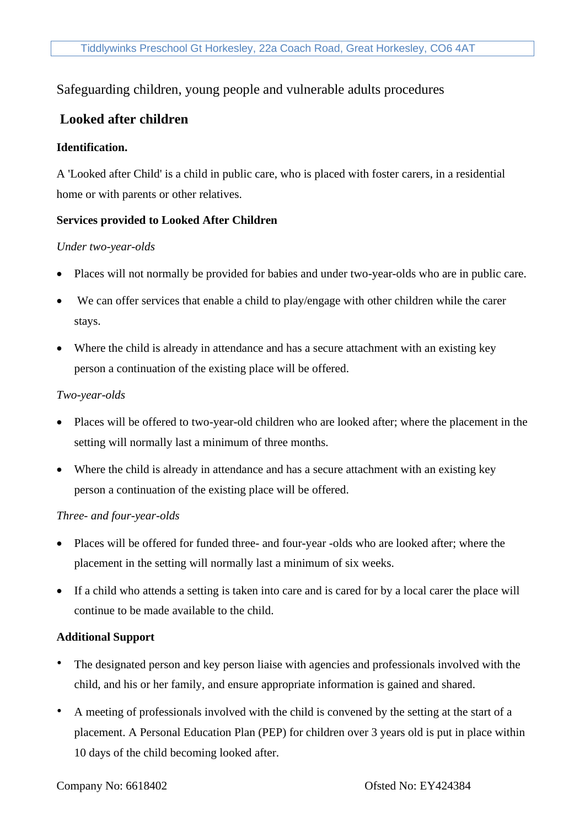## Safeguarding children, young people and vulnerable adults procedures

# **Looked after children**

#### **Identification.**

A 'Looked after Child' is a child in public care, who is placed with foster carers, in a residential home or with parents or other relatives.

### **Services provided to Looked After Children**

#### *Under two-year-olds*

- Places will not normally be provided for babies and under two-year-olds who are in public care.
- We can offer services that enable a child to play/engage with other children while the carer stays.
- Where the child is already in attendance and has a secure attachment with an existing key person a continuation of the existing place will be offered.

#### *Two-year-olds*

- Places will be offered to two-year-old children who are looked after; where the placement in the setting will normally last a minimum of three months.
- Where the child is already in attendance and has a secure attachment with an existing key person a continuation of the existing place will be offered.

#### *Three- and four-year-olds*

- Places will be offered for funded three- and four-year -olds who are looked after; where the placement in the setting will normally last a minimum of six weeks.
- If a child who attends a setting is taken into care and is cared for by a local carer the place will continue to be made available to the child.

#### **Additional Support**

- The designated person and key person liaise with agencies and professionals involved with the child, and his or her family, and ensure appropriate information is gained and shared.
- A meeting of professionals involved with the child is convened by the setting at the start of a placement. A Personal Education Plan (PEP) for children over 3 years old is put in place within 10 days of the child becoming looked after.